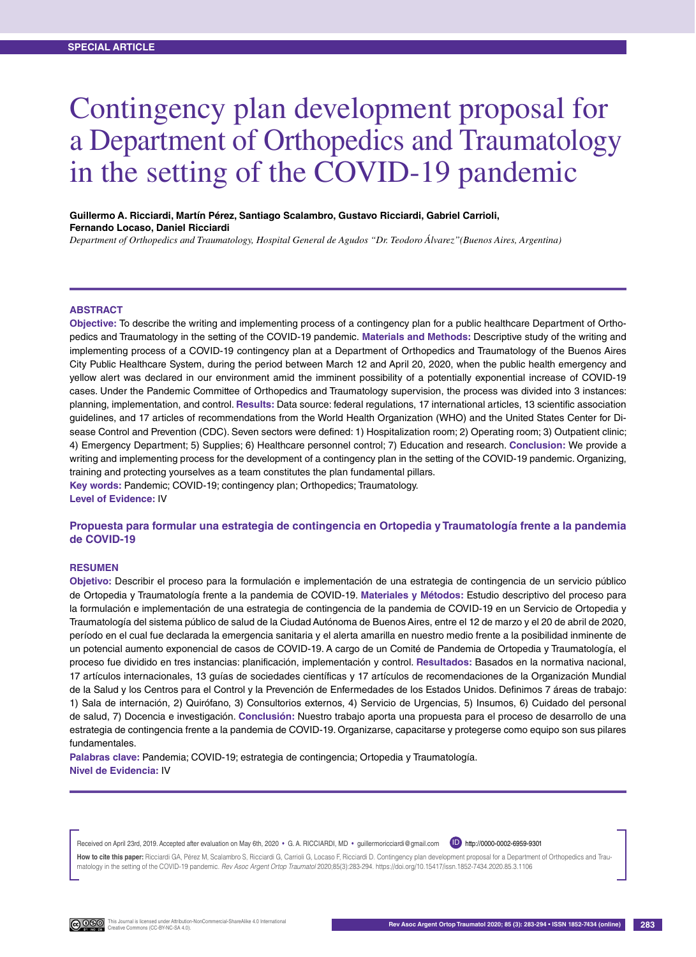# Contingency plan development proposal for a Department of Orthopedics and Traumatology in the setting of the COVID-19 pandemic

#### **Guillermo A. Ricciardi, Martín Pérez, Santiago Scalambro, Gustavo Ricciardi, Gabriel Carrioli, Fernando Locaso, Daniel Ricciardi**

*Department of Orthopedics and Traumatology, Hospital General de Agudos "Dr. Teodoro Álvarez"(Buenos Aires, Argentina)*

#### **Abstract**

**Objective:** To describe the writing and implementing process of a contingency plan for a public healthcare Department of Orthopedics and Traumatology in the setting of the COVID-19 pandemic. **Materials and Methods:** Descriptive study of the writing and implementing process of a COVID-19 contingency plan at a Department of Orthopedics and Traumatology of the Buenos Aires City Public Healthcare System, during the period between March 12 and April 20, 2020, when the public health emergency and yellow alert was declared in our environment amid the imminent possibility of a potentially exponential increase of COVID-19 cases. Under the Pandemic Committee of Orthopedics and Traumatology supervision, the process was divided into 3 instances: planning, implementation, and control. **Results:** Data source: federal regulations, 17 international articles, 13 scientific association guidelines, and 17 articles of recommendations from the World Health Organization (WHO) and the United States Center for Disease Control and Prevention (CDC). Seven sectors were defined: 1) Hospitalization room; 2) Operating room; 3) Outpatient clinic; 4) Emergency Department; 5) Supplies; 6) Healthcare personnel control; 7) Education and research. **Conclusion:** We provide a writing and implementing process for the development of a contingency plan in the setting of the COVID-19 pandemic. Organizing, training and protecting yourselves as a team constitutes the plan fundamental pillars.

**Key words:** Pandemic; COVID-19; contingency plan; Orthopedics; Traumatology. **Level of Evidence:** IV

#### **Propuesta para formular una estrategia de contingencia en Ortopedia y Traumatología frente a la pandemia de COVID-19**

#### **Resumen**

**Objetivo:** Describir el proceso para la formulación e implementación de una estrategia de contingencia de un servicio público de Ortopedia y Traumatología frente a la pandemia de COVID-19. **Materiales y Métodos:** Estudio descriptivo del proceso para la formulación e implementación de una estrategia de contingencia de la pandemia de COVID-19 en un Servicio de Ortopedia y Traumatología del sistema público de salud de la Ciudad Autónoma de Buenos Aires, entre el 12 de marzo y el 20 de abril de 2020, período en el cual fue declarada la emergencia sanitaria y el alerta amarilla en nuestro medio frente a la posibilidad inminente de un potencial aumento exponencial de casos de COVID-19. A cargo de un Comité de Pandemia de Ortopedia y Traumatología, el proceso fue dividido en tres instancias: planificación, implementación y control. **Resultados:** Basados en la normativa nacional, 17 artículos internacionales, 13 guías de sociedades científicas y 17 artículos de recomendaciones de la Organización Mundial de la Salud y los Centros para el Control y la Prevención de Enfermedades de los Estados Unidos. Definimos 7 áreas de trabajo: 1) Sala de internación, 2) Quirófano, 3) Consultorios externos, 4) Servicio de Urgencias, 5) Insumos, 6) Cuidado del personal de salud, 7) Docencia e investigación. **Conclusión:** Nuestro trabajo aporta una propuesta para el proceso de desarrollo de una estrategia de contingencia frente a la pandemia de COVID-19. Organizarse, capacitarse y protegerse como equipo son sus pilares fundamentales.

**Palabras clave:** Pandemia; COVID-19; estrategia de contingencia; Ortopedia y Traumatología. **Nivel de Evidencia:** IV

Received on April 23rd, 2019. Accepted after evaluation on May 6th, 2020 • G. A. RICCIARDI, MD • guillermoricciardi@gmail.com D http://0000-0002-6959-9301

How to cite this paper: Ricciardi GA, Pérez M, Scalambro S, Ricciardi G, Carrioli G, Locaso F, Ricciardi D, Contingency plan development proposal for a Department of Orthopedics and Traumatology in the setting of the COVID-19 pandemic. *Rev Asoc Argent Ortop Traumatol* 2020;85(3):283-294. https://doi.org/10.15417/issn.1852-7434.2020.85.3.1106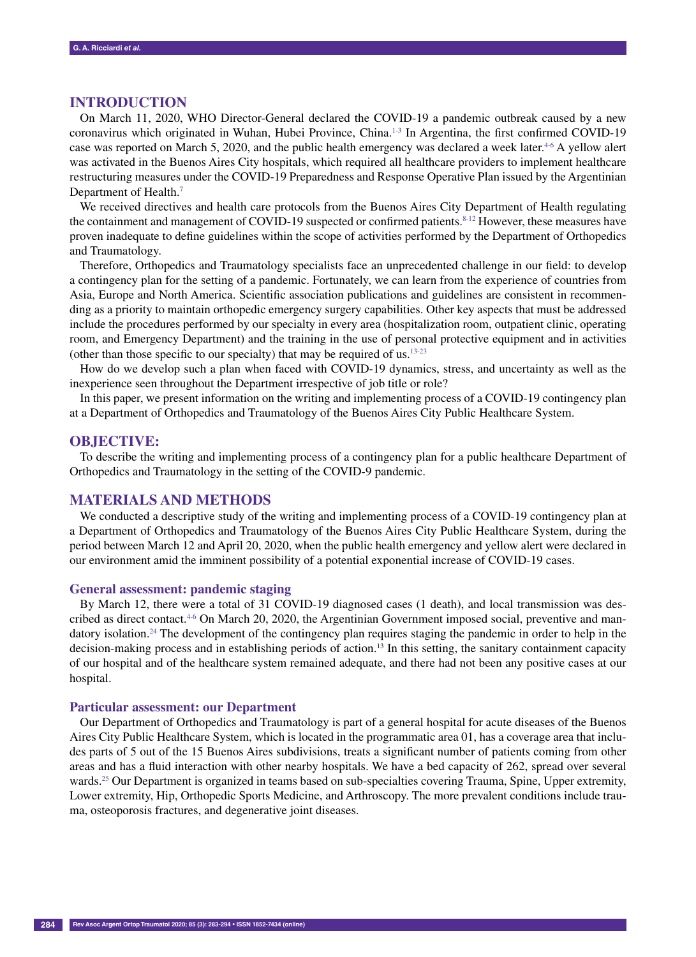## **Introduction**

On March 11, 2020, WHO Director-General declared the COVID-19 a pandemic outbreak caused by a new coronavirus which originated in Wuhan, Hubei Province, China.1-3 In Argentina, the first confirmed COVID-19 case was reported on March 5, 2020, and the public health emergency was declared a week later.<sup>4-6</sup> A yellow alert was activated in the Buenos Aires City hospitals, which required all healthcare providers to implement healthcare restructuring measures under the COVID-19 Preparedness and Response Operative Plan issued by the Argentinian Department of Health.<sup>7</sup>

We received directives and health care protocols from the Buenos Aires City Department of Health regulating the containment and management of COVID-19 suspected or confirmed patients.<sup>8-12</sup> However, these measures have proven inadequate to define guidelines within the scope of activities performed by the Department of Orthopedics and Traumatology.

Therefore, Orthopedics and Traumatology specialists face an unprecedented challenge in our field: to develop a contingency plan for the setting of a pandemic. Fortunately, we can learn from the experience of countries from Asia, Europe and North America. Scientific association publications and guidelines are consistent in recommending as a priority to maintain orthopedic emergency surgery capabilities. Other key aspects that must be addressed include the procedures performed by our specialty in every area (hospitalization room, outpatient clinic, operating room, and Emergency Department) and the training in the use of personal protective equipment and in activities (other than those specific to our specialty) that may be required of us.  $13-23$ 

How do we develop such a plan when faced with COVID-19 dynamics, stress, and uncertainty as well as the inexperience seen throughout the Department irrespective of job title or role?

In this paper, we present information on the writing and implementing process of a COVID-19 contingency plan at a Department of Orthopedics and Traumatology of the Buenos Aires City Public Healthcare System.

## **OBJECTIVE:**

To describe the writing and implementing process of a contingency plan for a public healthcare Department of Orthopedics and Traumatology in the setting of the COVID-9 pandemic.

#### **Materials and Methods**

We conducted a descriptive study of the writing and implementing process of a COVID-19 contingency plan at a Department of Orthopedics and Traumatology of the Buenos Aires City Public Healthcare System, during the period between March 12 and April 20, 2020, when the public health emergency and yellow alert were declared in our environment amid the imminent possibility of a potential exponential increase of COVID-19 cases.

#### **General assessment: pandemic staging**

By March 12, there were a total of 31 COVID-19 diagnosed cases (1 death), and local transmission was described as direct contact. $4-6$  On March 20, 2020, the Argentinian Government imposed social, preventive and mandatory isolation.<sup>24</sup> The development of the contingency plan requires staging the pandemic in order to help in the decision-making process and in establishing periods of action.<sup>13</sup> In this setting, the sanitary containment capacity of our hospital and of the healthcare system remained adequate, and there had not been any positive cases at our hospital.

#### **Particular assessment: our Department**

Our Department of Orthopedics and Traumatology is part of a general hospital for acute diseases of the Buenos Aires City Public Healthcare System, which is located in the programmatic area 01, has a coverage area that includes parts of 5 out of the 15 Buenos Aires subdivisions, treats a significant number of patients coming from other areas and has a fluid interaction with other nearby hospitals. We have a bed capacity of 262, spread over several wards.<sup>25</sup> Our Department is organized in teams based on sub-specialties covering Trauma, Spine, Upper extremity, Lower extremity, Hip, Orthopedic Sports Medicine, and Arthroscopy. The more prevalent conditions include trauma, osteoporosis fractures, and degenerative joint diseases.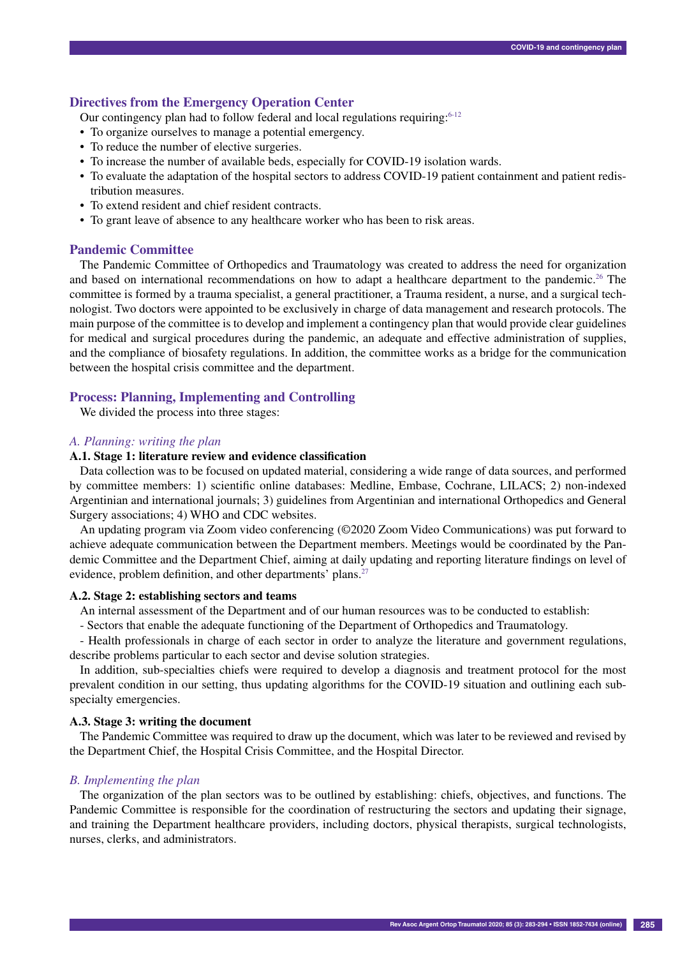## **Directives from the Emergency Operation Center**

Our contingency plan had to follow federal and local regulations requiring: $6-12$ 

- To organize ourselves to manage a potential emergency.
- To reduce the number of elective surgeries.
- To increase the number of available beds, especially for COVID-19 isolation wards.
- • To evaluate the adaptation of the hospital sectors to address COVID-19 patient containment and patient redistribution measures.
- To extend resident and chief resident contracts.
- To grant leave of absence to any healthcare worker who has been to risk areas.

## **Pandemic Committee**

The Pandemic Committee of Orthopedics and Traumatology was created to address the need for organization and based on international recommendations on how to adapt a healthcare department to the pandemic.<sup>26</sup> The committee is formed by a trauma specialist, a general practitioner, a Trauma resident, a nurse, and a surgical technologist. Two doctors were appointed to be exclusively in charge of data management and research protocols. The main purpose of the committee is to develop and implement a contingency plan that would provide clear guidelines for medical and surgical procedures during the pandemic, an adequate and effective administration of supplies, and the compliance of biosafety regulations. In addition, the committee works as a bridge for the communication between the hospital crisis committee and the department.

## **Process: Planning, Implementing and Controlling**

We divided the process into three stages:

## *A. Planning: writing the plan*

## **A.1. Stage 1: literature review and evidence classification**

Data collection was to be focused on updated material, considering a wide range of data sources, and performed by committee members: 1) scientific online databases: Medline, Embase, Cochrane, LILACS; 2) non-indexed Argentinian and international journals; 3) guidelines from Argentinian and international Orthopedics and General Surgery associations; 4) WHO and CDC websites.

An updating program via Zoom video conferencing (©2020 Zoom Video Communications) was put forward to achieve adequate communication between the Department members. Meetings would be coordinated by the Pandemic Committee and the Department Chief, aiming at daily updating and reporting literature findings on level of evidence, problem definition, and other departments' plans.<sup>27</sup>

#### **A.2. Stage 2: establishing sectors and teams**

An internal assessment of the Department and of our human resources was to be conducted to establish:

- Sectors that enable the adequate functioning of the Department of Orthopedics and Traumatology.

- Health professionals in charge of each sector in order to analyze the literature and government regulations, describe problems particular to each sector and devise solution strategies.

In addition, sub-specialties chiefs were required to develop a diagnosis and treatment protocol for the most prevalent condition in our setting, thus updating algorithms for the COVID-19 situation and outlining each subspecialty emergencies.

#### **A.3. Stage 3: writing the document**

The Pandemic Committee was required to draw up the document, which was later to be reviewed and revised by the Department Chief, the Hospital Crisis Committee, and the Hospital Director.

## *B. Implementing the plan*

The organization of the plan sectors was to be outlined by establishing: chiefs, objectives, and functions. The Pandemic Committee is responsible for the coordination of restructuring the sectors and updating their signage, and training the Department healthcare providers, including doctors, physical therapists, surgical technologists, nurses, clerks, and administrators.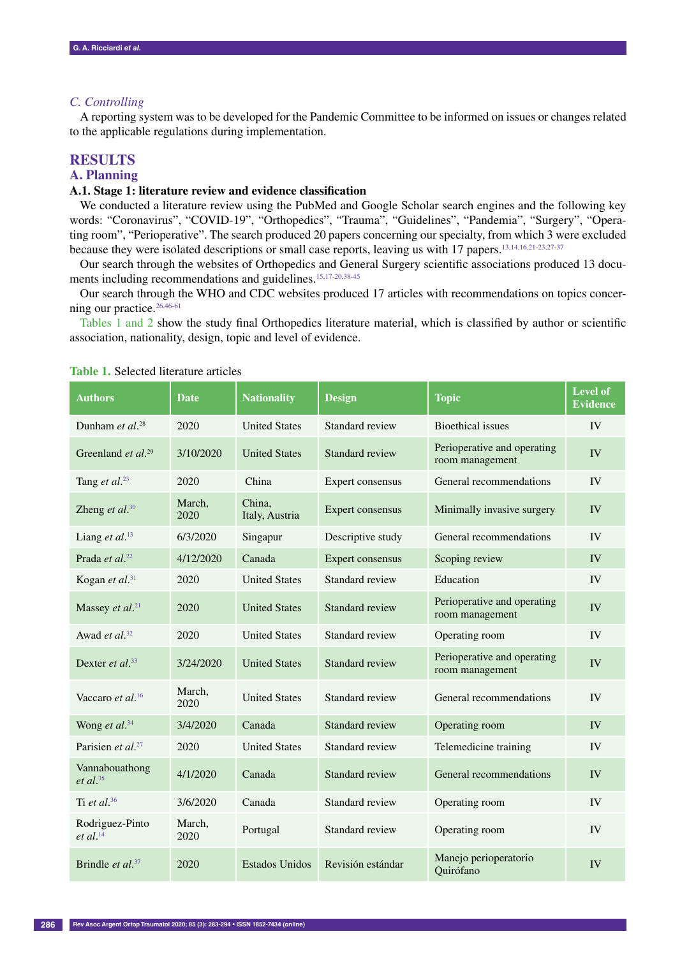## *C. Controlling*

A reporting system was to be developed for the Pandemic Committee to be informed on issues or changes related to the applicable regulations during implementation.

## **Results**

#### **A. Planning**

#### **A.1. Stage 1: literature review and evidence classification**

We conducted a literature review using the PubMed and Google Scholar search engines and the following key words: "Coronavirus", "COVID-19", "Orthopedics", "Trauma", "Guidelines", "Pandemia", "Surgery", "Operating room", "Perioperative". The search produced 20 papers concerning our specialty, from which 3 were excluded because they were isolated descriptions or small case reports, leaving us with 17 papers.13,14,16,21-23,27-37

Our search through the websites of Orthopedics and General Surgery scientific associations produced 13 documents including recommendations and guidelines.<sup>15,17-20,38-45</sup>

Our search through the WHO and CDC websites produced 17 articles with recommendations on topics concerning our practice.<sup>26,46-61</sup>

Tables 1 and 2 show the study final Orthopedics literature material, which is classified by author or scientific association, nationality, design, topic and level of evidence.

| <b>Authors</b>                            | <b>Date</b>    | <b>Nationality</b>       | <b>Design</b>     | <b>Topic</b>                                   | <b>Level of</b><br><b>Evidence</b> |
|-------------------------------------------|----------------|--------------------------|-------------------|------------------------------------------------|------------------------------------|
| Dunham et $al.^{28}$                      | 2020           | <b>United States</b>     | Standard review   | <b>Bioethical</b> issues                       | IV                                 |
| Greenland <i>et al.</i> <sup>29</sup>     | 3/10/2020      | <b>United States</b>     | Standard review   | Perioperative and operating<br>room management | <b>IV</b>                          |
| Tang et al. <sup>23</sup>                 | 2020           | China                    | Expert consensus  | General recommendations                        | IV                                 |
| Zheng et al. $30$                         | March.<br>2020 | China.<br>Italy, Austria | Expert consensus  | Minimally invasive surgery                     | IV                                 |
| Liang et al. <sup>13</sup>                | 6/3/2020       | Singapur                 | Descriptive study | General recommendations                        | <b>IV</b>                          |
| Prada et al. <sup>22</sup>                | 4/12/2020      | Canada                   | Expert consensus  | Scoping review                                 | IV                                 |
| Kogan et al. $31$                         | 2020           | <b>United States</b>     | Standard review   | Education                                      | IV                                 |
| Massey et al. <sup>21</sup>               | 2020           | <b>United States</b>     | Standard review   | Perioperative and operating<br>room management | IV                                 |
| Awad et $al.^{32}$                        | 2020           | <b>United States</b>     | Standard review   | Operating room                                 | IV                                 |
| Dexter et al. $33$                        | 3/24/2020      | <b>United States</b>     | Standard review   | Perioperative and operating<br>room management | IV                                 |
| Vaccaro et al. <sup>16</sup>              | March,<br>2020 | <b>United States</b>     | Standard review   | General recommendations                        | IV                                 |
| Wong et al. <sup>34</sup>                 | 3/4/2020       | Canada                   | Standard review   | Operating room                                 | IV                                 |
| Parisien et al. <sup>27</sup>             | 2020           | <b>United States</b>     | Standard review   | Telemedicine training                          | IV                                 |
| Vannabouathong<br>$et$ al. <sup>35</sup>  | 4/1/2020       | Canada                   | Standard review   | General recommendations                        | IV                                 |
| Ti et al. $36$                            | 3/6/2020       | Canada                   | Standard review   | Operating room                                 | IV                                 |
| Rodriguez-Pinto<br>$et$ al. <sup>14</sup> | March,<br>2020 | Portugal                 | Standard review   | Operating room                                 | <b>IV</b>                          |
| Brindle <i>et al.</i> <sup>37</sup>       | 2020           | <b>Estados Unidos</b>    | Revisión estándar | Manejo perioperatorio<br>Ouirófano             | IV                                 |

**Table 1.** Selected literature articles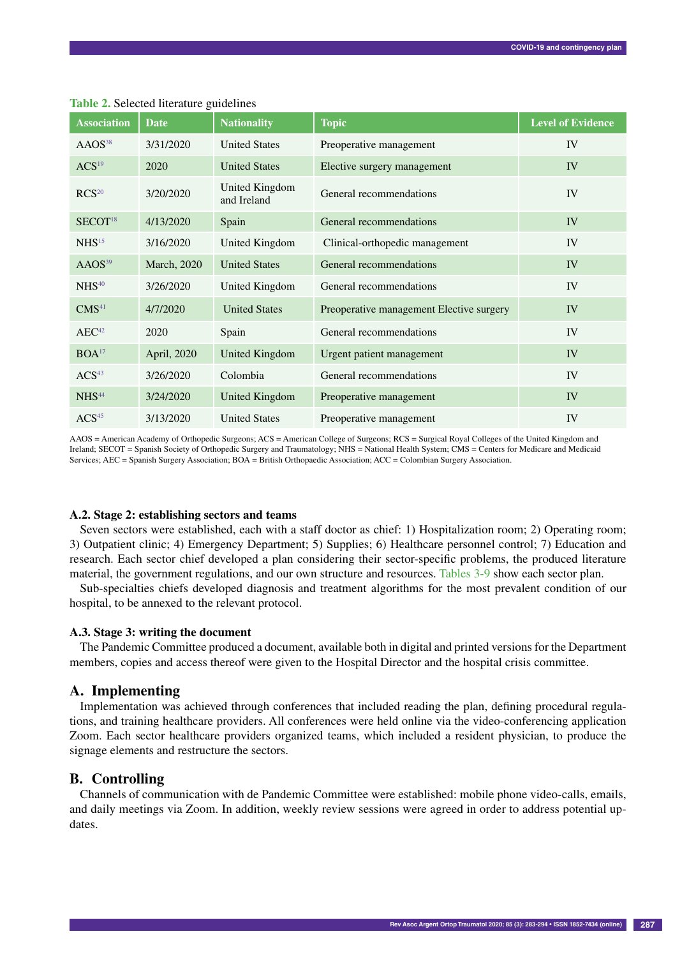| <b>Association</b>  | <b>Date</b>         | <b>Nationality</b>            | <b>Topic</b>                             | <b>Level of Evidence</b> |
|---------------------|---------------------|-------------------------------|------------------------------------------|--------------------------|
| AAOS <sup>38</sup>  | 3/31/2020           | <b>United States</b>          | Preoperative management                  | IV                       |
| ACS <sup>19</sup>   | 2020                | <b>United States</b>          | Elective surgery management              | IV                       |
| RCS <sup>20</sup>   | 3/20/2020           | United Kingdom<br>and Ireland | General recommendations                  | IV                       |
| SECOT <sup>18</sup> | 4/13/2020           | Spain                         | General recommendations                  | IV                       |
| NHS <sup>15</sup>   | 3/16/2020           | United Kingdom                | Clinical-orthopedic management           | IV                       |
| AAOS <sup>39</sup>  | <b>March</b> , 2020 | <b>United States</b>          | General recommendations                  | IV                       |
| NHS <sup>40</sup>   | 3/26/2020           | United Kingdom                | General recommendations                  | IV                       |
| CMS <sup>41</sup>   | 4/7/2020            | <b>United States</b>          | Preoperative management Elective surgery | IV                       |
| AEC <sup>42</sup>   | 2020                | Spain                         | General recommendations                  | IV                       |
| BOA <sup>17</sup>   | April, 2020         | United Kingdom                | Urgent patient management                | IV                       |
| ACS <sup>43</sup>   | 3/26/2020           | Colombia                      | General recommendations                  | IV                       |
| NHS <sup>44</sup>   | 3/24/2020           | United Kingdom                | Preoperative management                  | IV                       |
| ACS <sup>45</sup>   | 3/13/2020           | <b>United States</b>          | Preoperative management                  | IV                       |

**Table 2.** Selected literature guidelines

AAOS = American Academy of Orthopedic Surgeons; ACS = American College of Surgeons; RCS = Surgical Royal Colleges of the United Kingdom and Ireland; SECOT = Spanish Society of Orthopedic Surgery and Traumatology; NHS = National Health System; CMS = Centers for Medicare and Medicaid Services; AEC = Spanish Surgery Association; BOA = British Orthopaedic Association; ACC = Colombian Surgery Association.

#### **A.2. Stage 2: establishing sectors and teams**

Seven sectors were established, each with a staff doctor as chief: 1) Hospitalization room; 2) Operating room; 3) Outpatient clinic; 4) Emergency Department; 5) Supplies; 6) Healthcare personnel control; 7) Education and research. Each sector chief developed a plan considering their sector-specific problems, the produced literature material, the government regulations, and our own structure and resources. Tables 3-9 show each sector plan.

Sub-specialties chiefs developed diagnosis and treatment algorithms for the most prevalent condition of our hospital, to be annexed to the relevant protocol.

#### **A.3. Stage 3: writing the document**

The Pandemic Committee produced a document, available both in digital and printed versions for the Department members, copies and access thereof were given to the Hospital Director and the hospital crisis committee.

#### **A. Implementing**

Implementation was achieved through conferences that included reading the plan, defining procedural regulations, and training healthcare providers. All conferences were held online via the video-conferencing application Zoom. Each sector healthcare providers organized teams, which included a resident physician, to produce the signage elements and restructure the sectors.

## **B. Controlling**

Channels of communication with de Pandemic Committee were established: mobile phone video-calls, emails, and daily meetings via Zoom. In addition, weekly review sessions were agreed in order to address potential updates.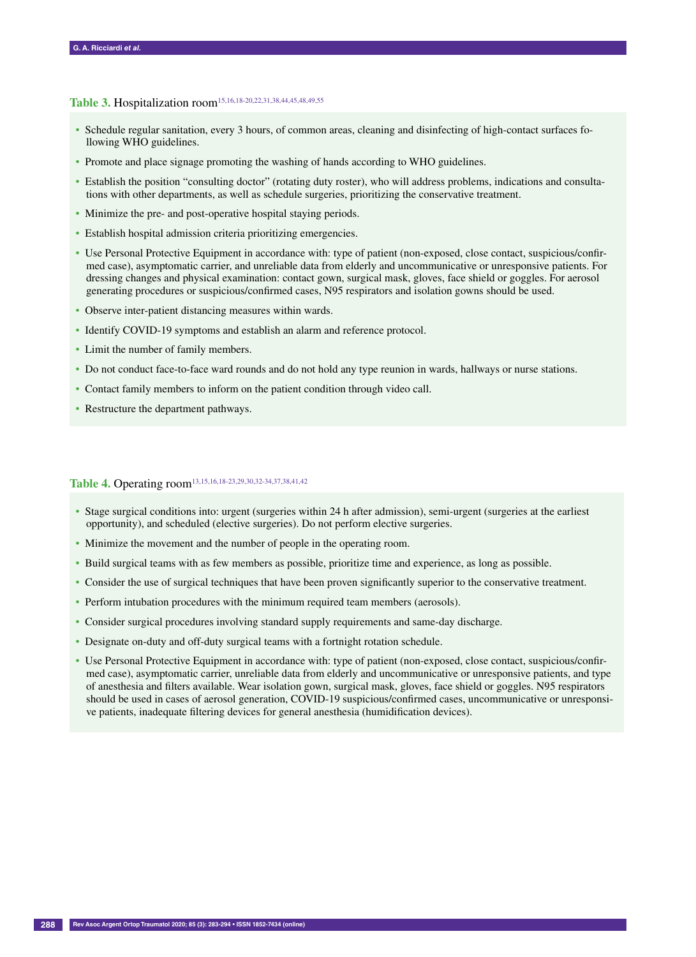## Table 3. Hospitalization room<sup>15,16,18-20,22,31,38,44,45,48,49,55</sup>

- Schedule regular sanitation, every 3 hours, of common areas, cleaning and disinfecting of high-contact surfaces following WHO guidelines.
- Promote and place signage promoting the washing of hands according to WHO guidelines.
- Establish the position "consulting doctor" (rotating duty roster), who will address problems, indications and consultations with other departments, as well as schedule surgeries, prioritizing the conservative treatment.
- Minimize the pre- and post-operative hospital staying periods.
- Establish hospital admission criteria prioritizing emergencies.
- Use Personal Protective Equipment in accordance with: type of patient (non-exposed, close contact, suspicious/confirmed case), asymptomatic carrier, and unreliable data from elderly and uncommunicative or unresponsive patients. For dressing changes and physical examination: contact gown, surgical mask, gloves, face shield or goggles. For aerosol generating procedures or suspicious/confirmed cases, N95 respirators and isolation gowns should be used.
- Observe inter-patient distancing measures within wards.
- Identify COVID-19 symptoms and establish an alarm and reference protocol.
- Limit the number of family members.
- Do not conduct face-to-face ward rounds and do not hold any type reunion in wards, hallways or nurse stations.
- Contact family members to inform on the patient condition through video call.
- Restructure the department pathways.

# Table 4. Operating room<sup>13,15,16,18-23,29,30,32-34,37,38,41,42</sup>

- Stage surgical conditions into: urgent (surgeries within 24 h after admission), semi-urgent (surgeries at the earliest opportunity), and scheduled (elective surgeries). Do not perform elective surgeries.
- Minimize the movement and the number of people in the operating room.
- Build surgical teams with as few members as possible, prioritize time and experience, as long as possible.
- Consider the use of surgical techniques that have been proven significantly superior to the conservative treatment.
- Perform intubation procedures with the minimum required team members (aerosols).
- Consider surgical procedures involving standard supply requirements and same-day discharge.
- Designate on-duty and off-duty surgical teams with a fortnight rotation schedule.
- Use Personal Protective Equipment in accordance with: type of patient (non-exposed, close contact, suspicious/confirmed case), asymptomatic carrier, unreliable data from elderly and uncommunicative or unresponsive patients, and type of anesthesia and filters available. Wear isolation gown, surgical mask, gloves, face shield or goggles. N95 respirators should be used in cases of aerosol generation, COVID-19 suspicious/confirmed cases, uncommunicative or unresponsive patients, inadequate filtering devices for general anesthesia (humidification devices).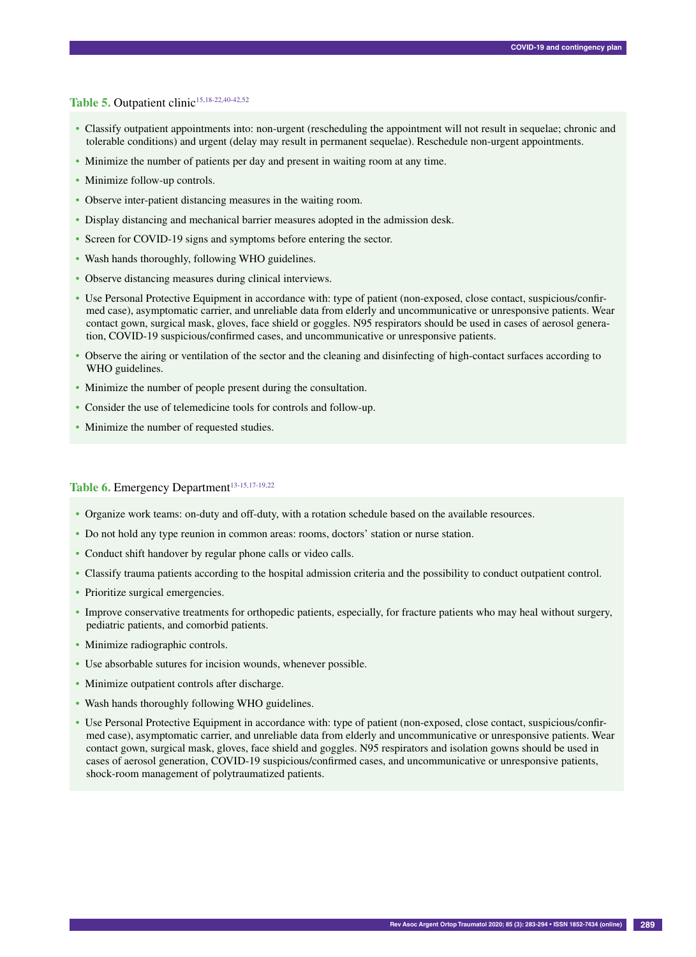## Table 5. Outpatient clinic<sup>15,18-22,40-42,52</sup>

- Classify outpatient appointments into: non-urgent (rescheduling the appointment will not result in sequelae; chronic and tolerable conditions) and urgent (delay may result in permanent sequelae). Reschedule non-urgent appointments.
- Minimize the number of patients per day and present in waiting room at any time.
- Minimize follow-up controls.
- Observe inter-patient distancing measures in the waiting room.
- Display distancing and mechanical barrier measures adopted in the admission desk.
- Screen for COVID-19 signs and symptoms before entering the sector.
- Wash hands thoroughly, following WHO guidelines.
- Observe distancing measures during clinical interviews.
- Use Personal Protective Equipment in accordance with: type of patient (non-exposed, close contact, suspicious/confirmed case), asymptomatic carrier, and unreliable data from elderly and uncommunicative or unresponsive patients. Wear contact gown, surgical mask, gloves, face shield or goggles. N95 respirators should be used in cases of aerosol generation, COVID-19 suspicious/confirmed cases, and uncommunicative or unresponsive patients.
- Observe the airing or ventilation of the sector and the cleaning and disinfecting of high-contact surfaces according to WHO guidelines.
- Minimize the number of people present during the consultation.
- Consider the use of telemedicine tools for controls and follow-up.
- Minimize the number of requested studies.

## Table 6. Emergency Department<sup>13-15,17-19,22</sup>

- Organize work teams: on-duty and off-duty, with a rotation schedule based on the available resources.
- Do not hold any type reunion in common areas: rooms, doctors' station or nurse station.
- Conduct shift handover by regular phone calls or video calls.
- Classify trauma patients according to the hospital admission criteria and the possibility to conduct outpatient control.
- Prioritize surgical emergencies.
- Improve conservative treatments for orthopedic patients, especially, for fracture patients who may heal without surgery, pediatric patients, and comorbid patients.
- Minimize radiographic controls.
- Use absorbable sutures for incision wounds, whenever possible.
- Minimize outpatient controls after discharge.
- Wash hands thoroughly following WHO guidelines.
- Use Personal Protective Equipment in accordance with: type of patient (non-exposed, close contact, suspicious/confirmed case), asymptomatic carrier, and unreliable data from elderly and uncommunicative or unresponsive patients. Wear contact gown, surgical mask, gloves, face shield and goggles. N95 respirators and isolation gowns should be used in cases of aerosol generation, COVID-19 suspicious/confirmed cases, and uncommunicative or unresponsive patients, shock-room management of polytraumatized patients.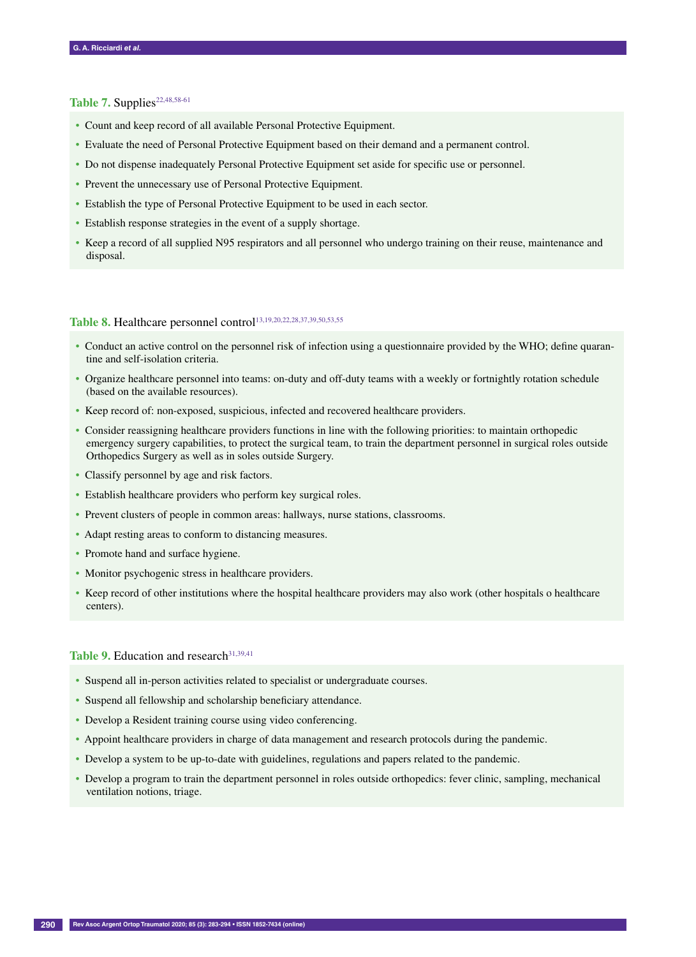## Table 7. Supplies<sup>22,48,58-61</sup>

- Count and keep record of all available Personal Protective Equipment.
- Evaluate the need of Personal Protective Equipment based on their demand and a permanent control.
- Do not dispense inadequately Personal Protective Equipment set aside for specific use or personnel.
- Prevent the unnecessary use of Personal Protective Equipment.
- Establish the type of Personal Protective Equipment to be used in each sector.
- Establish response strategies in the event of a supply shortage.
- Keep a record of all supplied N95 respirators and all personnel who undergo training on their reuse, maintenance and disposal.

# Table 8. Healthcare personnel control<sup>13,19,20,22,28,37,39,50,53,55</sup>

- Conduct an active control on the personnel risk of infection using a questionnaire provided by the WHO; define quarantine and self-isolation criteria.
- Organize healthcare personnel into teams: on-duty and off-duty teams with a weekly or fortnightly rotation schedule (based on the available resources).
- Keep record of: non-exposed, suspicious, infected and recovered healthcare providers.
- Consider reassigning healthcare providers functions in line with the following priorities: to maintain orthopedic emergency surgery capabilities, to protect the surgical team, to train the department personnel in surgical roles outside Orthopedics Surgery as well as in soles outside Surgery.
- Classify personnel by age and risk factors.
- Establish healthcare providers who perform key surgical roles.
- Prevent clusters of people in common areas: hallways, nurse stations, classrooms.
- Adapt resting areas to conform to distancing measures.
- Promote hand and surface hygiene.
- Monitor psychogenic stress in healthcare providers.
- Keep record of other institutions where the hospital healthcare providers may also work (other hospitals o healthcare centers).

#### Table 9. Education and research<sup>31,39,41</sup>

- Suspend all in-person activities related to specialist or undergraduate courses.
- Suspend all fellowship and scholarship beneficiary attendance.
- Develop a Resident training course using video conferencing.
- Appoint healthcare providers in charge of data management and research protocols during the pandemic.
- Develop a system to be up-to-date with guidelines, regulations and papers related to the pandemic.
- Develop a program to train the department personnel in roles outside orthopedics: fever clinic, sampling, mechanical ventilation notions, triage.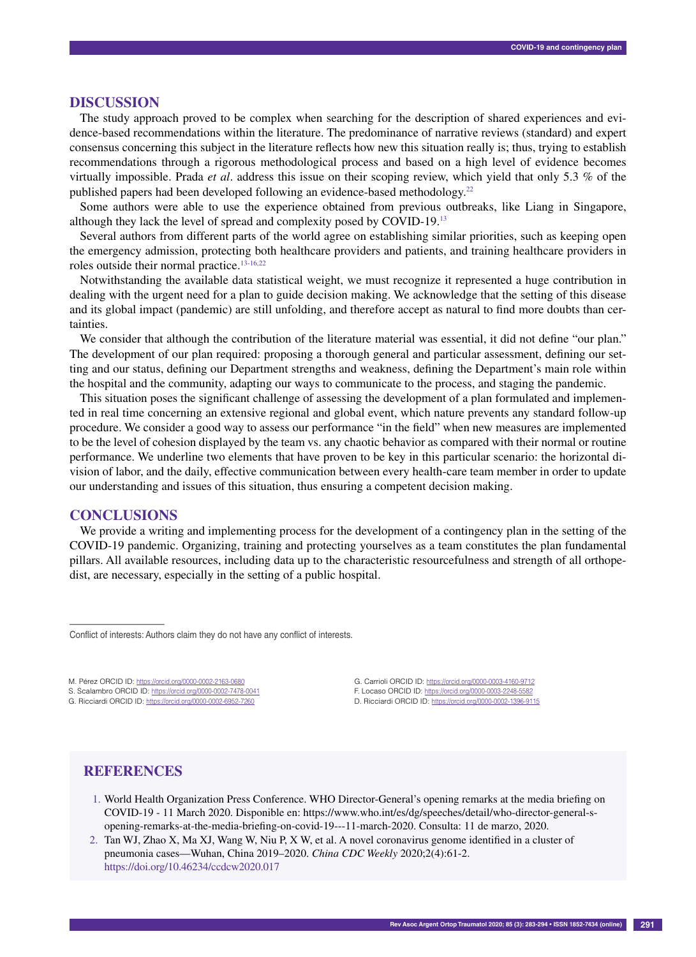#### **Discussion**

The study approach proved to be complex when searching for the description of shared experiences and evidence-based recommendations within the literature. The predominance of narrative reviews (standard) and expert consensus concerning this subject in the literature reflects how new this situation really is; thus, trying to establish recommendations through a rigorous methodological process and based on a high level of evidence becomes virtually impossible. Prada *et al*. address this issue on their scoping review, which yield that only 5.3 % of the published papers had been developed following an evidence-based methodology.22

Some authors were able to use the experience obtained from previous outbreaks, like Liang in Singapore, although they lack the level of spread and complexity posed by COVID-19.13

Several authors from different parts of the world agree on establishing similar priorities, such as keeping open the emergency admission, protecting both healthcare providers and patients, and training healthcare providers in roles outside their normal practice.<sup>13-16,22</sup>

Notwithstanding the available data statistical weight, we must recognize it represented a huge contribution in dealing with the urgent need for a plan to guide decision making. We acknowledge that the setting of this disease and its global impact (pandemic) are still unfolding, and therefore accept as natural to find more doubts than certainties.

We consider that although the contribution of the literature material was essential, it did not define "our plan." The development of our plan required: proposing a thorough general and particular assessment, defining our setting and our status, defining our Department strengths and weakness, defining the Department's main role within the hospital and the community, adapting our ways to communicate to the process, and staging the pandemic.

This situation poses the significant challenge of assessing the development of a plan formulated and implemented in real time concerning an extensive regional and global event, which nature prevents any standard follow-up procedure. We consider a good way to assess our performance "in the field" when new measures are implemented to be the level of cohesion displayed by the team vs. any chaotic behavior as compared with their normal or routine performance. We underline two elements that have proven to be key in this particular scenario: the horizontal division of labor, and the daily, effective communication between every health-care team member in order to update our understanding and issues of this situation, thus ensuring a competent decision making.

## **Conclusions**

––––––––––––––––––

We provide a writing and implementing process for the development of a contingency plan in the setting of the COVID-19 pandemic. Organizing, training and protecting yourselves as a team constitutes the plan fundamental pillars. All available resources, including data up to the characteristic resourcefulness and strength of all orthopedist, are necessary, especially in the setting of a public hospital.

Conflict of interests: Authors claim they do not have any conflict of interests.

M. Pérez ORCID ID: https://orcid.org/0000-0002-2163-0680

S. Scalambro ORCID ID: https://orcid.org/0000-0002-7478-0041 G. Ricciardi ORCID ID: https://orcid.org/0000-0002-6952-7260

G. Carrioli ORCID ID: https://orcid.org/0000-0003-4160-9712 F. Locaso ORCID ID: https://orcid.org/0000-0003-2248-5582 D. Ricciardi ORCID ID: https://orcid.org/0000-0002-1396-9115

## **References**

- 1. World Health Organization Press Conference. WHO Director-General's opening remarks at the media briefing on COVID-19 - 11 March 2020. Disponible en: https://www.who.int/es/dg/speeches/detail/who-director-general-sopening-remarks-at-the-media-briefing-on-covid-19---11-march-2020. Consulta: 11 de marzo, 2020.
- 2. Tan WJ, Zhao X, Ma XJ, Wang W, Niu P, X W, et al. A novel coronavirus genome identified in a cluster of pneumonia cases—Wuhan, China 2019–2020. *China CDC Weekly* 2020;2(4):61-2. https://doi.org/10.46234/ccdcw2020.017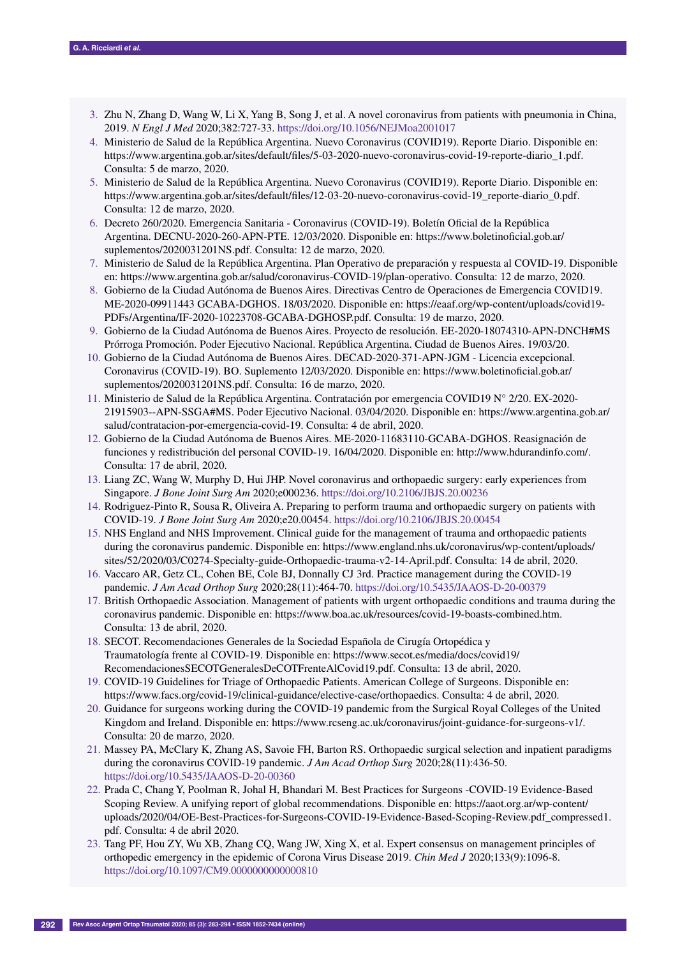- 3. Zhu N, Zhang D, Wang W, Li X, Yang B, Song J, et al. A novel coronavirus from patients with pneumonia in China, 2019. *N Engl J Med* 2020;382:727-33. https://doi.org/10.1056/NEJMoa2001017
- 4. Ministerio de Salud de la República Argentina. Nuevo Coronavirus (COVID19). Reporte Diario. Disponible en: https://www.argentina.gob.ar/sites/default/files/5-03-2020-nuevo-coronavirus-covid-19-reporte-diario\_1.pdf. Consulta: 5 de marzo, 2020.
- 5. Ministerio de Salud de la República Argentina. Nuevo Coronavirus (COVID19). Reporte Diario. Disponible en: https://www.argentina.gob.ar/sites/default/files/12-03-20-nuevo-coronavirus-covid-19\_reporte-diario\_0.pdf. Consulta: 12 de marzo, 2020.
- 6. Decreto 260/2020. Emergencia Sanitaria Coronavirus (COVID-19). Boletín Oficial de la República Argentina. DECNU-2020-260-APN-PTE. 12/03/2020. Disponible en: https://www.boletinoficial.gob.ar/ suplementos/2020031201NS.pdf. Consulta: 12 de marzo, 2020.
- 7. Ministerio de Salud de la República Argentina. Plan Operativo de preparación y respuesta al COVID-19. Disponible en: https://www.argentina.gob.ar/salud/coronavirus-COVID-19/plan-operativo. Consulta: 12 de marzo, 2020.
- 8. Gobierno de la Ciudad Autónoma de Buenos Aires. Directivas Centro de Operaciones de Emergencia COVID19. ME-2020-09911443 GCABA-DGHOS. 18/03/2020. Disponible en: https://eaaf.org/wp-content/uploads/covid19- PDFs/Argentina/IF-2020-10223708-GCABA-DGHOSP.pdf. Consulta: 19 de marzo, 2020.
- 9. Gobierno de la Ciudad Autónoma de Buenos Aires. Proyecto de resolución. EE-2020-18074310-APN-DNCH#MS Prórroga Promoción. Poder Ejecutivo Nacional. República Argentina. Ciudad de Buenos Aires. 19/03/20.
- 10. Gobierno de la Ciudad Autónoma de Buenos Aires. DECAD-2020-371-APN-JGM Licencia excepcional. Coronavirus (COVID-19). BO. Suplemento 12/03/2020. Disponible en: https://www.boletinoficial.gob.ar/ suplementos/2020031201NS.pdf. Consulta: 16 de marzo, 2020.
- 11. Ministerio de Salud de la República Argentina. Contratación por emergencia COVID19 N° 2/20. EX-2020- 21915903--APN-SSGA#MS. Poder Ejecutivo Nacional. 03/04/2020. Disponible en: https://www.argentina.gob.ar/ salud/contratacion-por-emergencia-covid-19. Consulta: 4 de abril, 2020.
- 12. Gobierno de la Ciudad Autónoma de Buenos Aires. ME-2020-11683110-GCABA-DGHOS. Reasignación de funciones y redistribución del personal COVID-19. 16/04/2020. Disponible en: http://www.hdurandinfo.com/. Consulta: 17 de abril, 2020.
- 13. Liang ZC, Wang W, Murphy D, Hui JHP. Novel coronavirus and orthopaedic surgery: early experiences from Singapore. *J Bone Joint Surg Am* 2020;e000236. https://doi.org/10.2106/JBJS.20.00236
- 14. Rodriguez-Pinto R, Sousa R, Oliveira A. Preparing to perform trauma and orthopaedic surgery on patients with COVID-19. *J Bone Joint Surg Am* 2020;e20.00454. https://doi.org/10.2106/JBJS.20.00454
- 15. NHS England and NHS Improvement. Clinical guide for the management of trauma and orthopaedic patients during the coronavirus pandemic. Disponible en: https://www.england.nhs.uk/coronavirus/wp-content/uploads/ sites/52/2020/03/C0274-Specialty-guide-Orthopaedic-trauma-v2-14-April.pdf. Consulta: 14 de abril, 2020.
- 16. Vaccaro AR, Getz CL, Cohen BE, Cole BJ, Donnally CJ 3rd. Practice management during the COVID-19 pandemic. *J Am Acad Orthop Surg* 2020;28(11):464-70. https://doi.org/10.5435/JAAOS-D-20-00379
- 17. British Orthopaedic Association. Management of patients with urgent orthopaedic conditions and trauma during the coronavirus pandemic. Disponible en: https://www.boa.ac.uk/resources/covid-19-boasts-combined.htm. Consulta: 13 de abril, 2020.
- 18. SECOT. Recomendaciones Generales de la Sociedad Española de Cirugía Ortopédica y Traumatología frente al COVID-19. Disponible en: https://www.secot.es/media/docs/covid19/ RecomendacionesSECOTGeneralesDeCOTFrenteAlCovid19.pdf. Consulta: 13 de abril, 2020.
- 19. COVID-19 Guidelines for Triage of Orthopaedic Patients. American College of Surgeons. Disponible en: https://www.facs.org/covid-19/clinical-guidance/elective-case/orthopaedics. Consulta: 4 de abril, 2020.
- 20. Guidance for surgeons working during the COVID-19 pandemic from the Surgical Royal Colleges of the United Kingdom and Ireland. Disponible en: https://www.rcseng.ac.uk/coronavirus/joint-guidance-for-surgeons-v1/. Consulta: 20 de marzo, 2020.
- 21. Massey PA, McClary K, Zhang AS, Savoie FH, Barton RS. Orthopaedic surgical selection and inpatient paradigms during the coronavirus COVID-19 pandemic. *J Am Acad Orthop Surg* 2020;28(11):436-50. https://doi.org/10.5435/JAAOS-D-20-00360
- 22. Prada C, Chang Y, Poolman R, Johal H, Bhandari M. Best Practices for Surgeons -COVID-19 Evidence-Based Scoping Review. A unifying report of global recommendations. Disponible en: https://aaot.org.ar/wp-content/ uploads/2020/04/OE-Best-Practices-for-Surgeons-COVID-19-Evidence-Based-Scoping-Review.pdf\_compressed1. pdf. Consulta: 4 de abril 2020.
- 23. Tang PF, Hou ZY, Wu XB, Zhang CQ, Wang JW, Xing X, et al. Expert consensus on management principles of orthopedic emergency in the epidemic of Corona Virus Disease 2019. *Chin Med J* 2020;133(9):1096-8. https://doi.org/10.1097/CM9.0000000000000810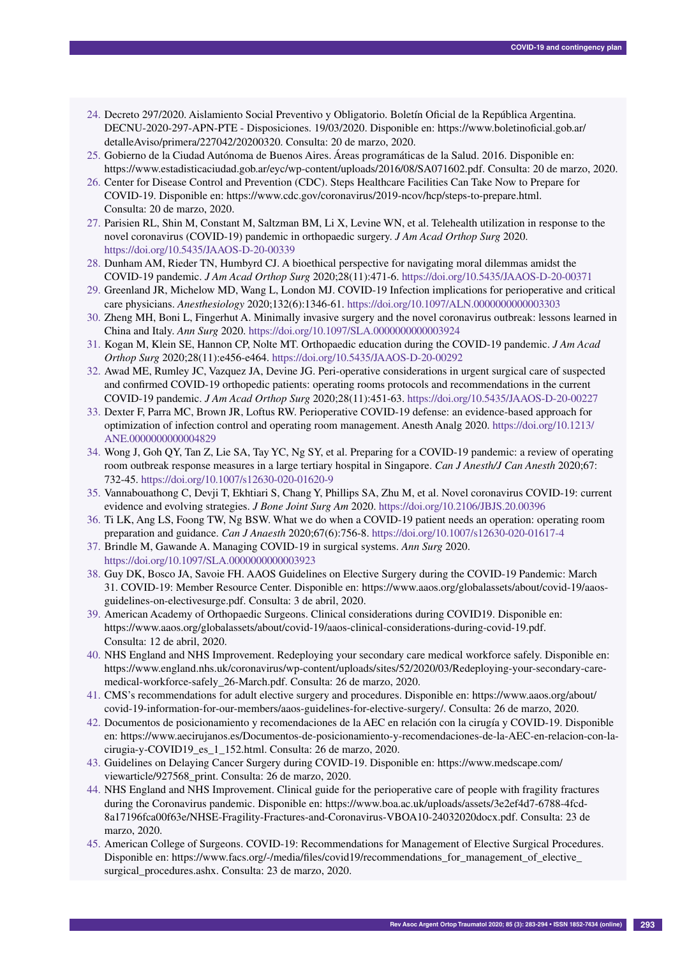- 24. Decreto 297/2020. Aislamiento Social Preventivo y Obligatorio. Boletín Oficial de la República Argentina. DECNU-2020-297-APN-PTE - Disposiciones. 19/03/2020. Disponible en: https://www.boletinoficial.gob.ar/ detalleAviso/primera/227042/20200320. Consulta: 20 de marzo, 2020.
- 25. Gobierno de la Ciudad Autónoma de Buenos Aires. Áreas programáticas de la Salud. 2016. Disponible en: https://www.estadisticaciudad.gob.ar/eyc/wp-content/uploads/2016/08/SA071602.pdf. Consulta: 20 de marzo, 2020.
- 26. Center for Disease Control and Prevention (CDC). Steps Healthcare Facilities Can Take Now to Prepare for COVID-19. Disponible en: https://www.cdc.gov/coronavirus/2019-ncov/hcp/steps-to-prepare.html. Consulta: 20 de marzo, 2020.
- 27. Parisien RL, Shin M, Constant M, Saltzman BM, Li X, Levine WN, et al. Telehealth utilization in response to the novel coronavirus (COVID-19) pandemic in orthopaedic surgery. *J Am Acad Orthop Surg* 2020. https://doi.org/10.5435/JAAOS-D-20-00339
- 28. Dunham AM, Rieder TN, Humbyrd CJ. A bioethical perspective for navigating moral dilemmas amidst the COVID-19 pandemic. *J Am Acad Orthop Surg* 2020;28(11):471-6. https://doi.org/10.5435/JAAOS-D-20-00371
- 29. Greenland JR, Michelow MD, Wang L, London MJ. COVID-19 Infection implications for perioperative and critical care physicians. *Anesthesiology* 2020;132(6):1346-61. https://doi.org/10.1097/ALN.0000000000003303
- 30. Zheng MH, Boni L, Fingerhut A. Minimally invasive surgery and the novel coronavirus outbreak: lessons learned in China and Italy. *Ann Surg* 2020. https://doi.org/10.1097/SLA.0000000000003924
- 31. Kogan M, Klein SE, Hannon CP, Nolte MT. Orthopaedic education during the COVID-19 pandemic. *J Am Acad Orthop Surg* 2020;28(11):e456-e464. https://doi.org/10.5435/JAAOS-D-20-00292
- 32. Awad ME, Rumley JC, Vazquez JA, Devine JG. Peri-operative considerations in urgent surgical care of suspected and confirmed COVID-19 orthopedic patients: operating rooms protocols and recommendations in the current COVID-19 pandemic. *J Am Acad Orthop Surg* 2020;28(11):451-63. https://doi.org/10.5435/JAAOS-D-20-00227
- 33. Dexter F, Parra MC, Brown JR, Loftus RW. Perioperative COVID-19 defense: an evidence-based approach for optimization of infection control and operating room management. Anesth Analg 2020. https://doi.org/10.1213/ ANE.0000000000004829
- 34. Wong J, Goh QY, Tan Z, Lie SA, Tay YC, Ng SY, et al. Preparing for a COVID-19 pandemic: a review of operating room outbreak response measures in a large tertiary hospital in Singapore. *Can J Anesth/J Can Anesth* 2020;67: 732-45. https://doi.org/10.1007/s12630-020-01620-9
- 35. Vannabouathong C, Devji T, Ekhtiari S, Chang Y, Phillips SA, Zhu M, et al. Novel coronavirus COVID-19: current evidence and evolving strategies. *J Bone Joint Surg Am* 2020. https://doi.org/10.2106/JBJS.20.00396
- 36. Ti LK, Ang LS, Foong TW, Ng BSW. What we do when a COVID-19 patient needs an operation: operating room preparation and guidance. *Can J Anaesth* 2020;67(6):756-8. https://doi.org/10.1007/s12630-020-01617-4
- 37. Brindle M, Gawande A. Managing COVID-19 in surgical systems. *Ann Surg* 2020. https://doi.org/10.1097/SLA.0000000000003923
- 38. Guy DK, Bosco JA, Savoie FH. AAOS Guidelines on Elective Surgery during the COVID-19 Pandemic: March 31. COVID-19: Member Resource Center. Disponible en: https://www.aaos.org/globalassets/about/covid-19/aaosguidelines-on-electivesurge.pdf. Consulta: 3 de abril, 2020.
- 39. American Academy of Orthopaedic Surgeons. Clinical considerations during COVID19. Disponible en: https://www.aaos.org/globalassets/about/covid-19/aaos-clinical-considerations-during-covid-19.pdf. Consulta: 12 de abril, 2020.
- 40. NHS England and NHS Improvement. Redeploying your secondary care medical workforce safely. Disponible en: https://www.england.nhs.uk/coronavirus/wp-content/uploads/sites/52/2020/03/Redeploying-your-secondary-caremedical-workforce-safely\_26-March.pdf. Consulta: 26 de marzo, 2020.
- 41. CMS's recommendations for adult elective surgery and procedures. Disponible en: https://www.aaos.org/about/ covid-19-information-for-our-members/aaos-guidelines-for-elective-surgery/. Consulta: 26 de marzo, 2020.
- 42. Documentos de posicionamiento y recomendaciones de la AEC en relación con la cirugía y COVID-19. Disponible en: https://www.aecirujanos.es/Documentos-de-posicionamiento-y-recomendaciones-de-la-AEC-en-relacion-con-lacirugia-y-COVID19\_es\_1\_152.html. Consulta: 26 de marzo, 2020.
- 43. Guidelines on Delaying Cancer Surgery during COVID-19. Disponible en: https://www.medscape.com/ viewarticle/927568\_print. Consulta: 26 de marzo, 2020.
- 44. NHS England and NHS Improvement. Clinical guide for the perioperative care of people with fragility fractures during the Coronavirus pandemic. Disponible en: https://www.boa.ac.uk/uploads/assets/3e2ef4d7-6788-4fcd-8a17196fca00f63e/NHSE-Fragility-Fractures-and-Coronavirus-VBOA10-24032020docx.pdf. Consulta: 23 de marzo, 2020.
- 45. American College of Surgeons. COVID-19: Recommendations for Management of Elective Surgical Procedures. Disponible en: https://www.facs.org/-/media/files/covid19/recommendations\_for\_management\_of\_elective surgical procedures.ashx. Consulta: 23 de marzo, 2020.